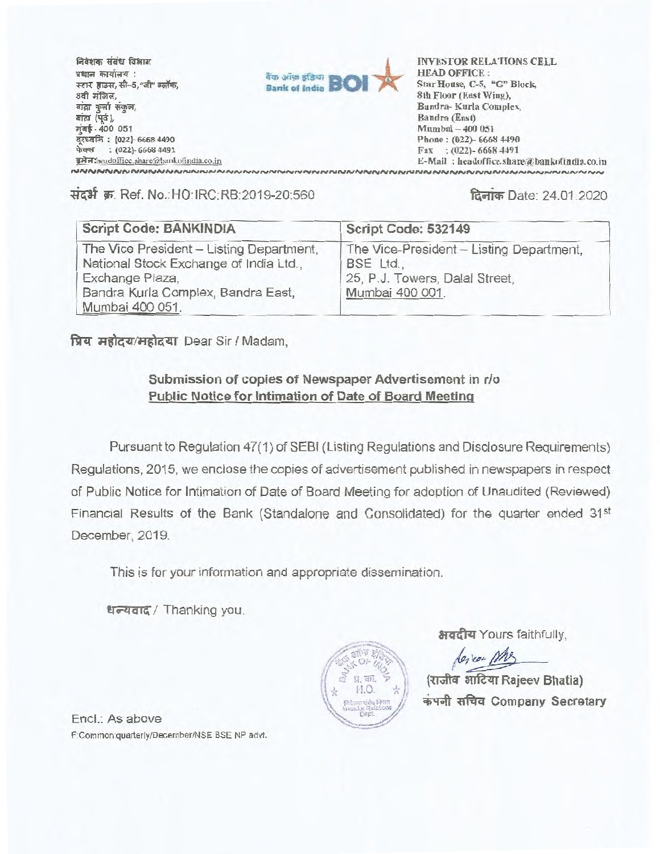**1=4alw- Tiitr faun inTra atigletti : /rT2 Ift--5,"41" 6.(41.F,** 8वी मंजिल, **aigr** कुर्बा संकुल, *ea a ia* (पूर्व), **tat-** 400 051 दरध्वलि: (022)- 6668 4490 फेक्स : (022)- 6668 4491



rg Antheadoffice.share@bankofindia.co.in<br>พ.ศ. 2008 - E-Mail : headoffice.share@bankofindia.co.in<br>พ.ศ. 2008 - พ.ศ. 2008 - Shareway Anthensical Shareway Anthensical Shareway Anthensical Shareway Anthensity Ant INVESTOR RELATIONS CELL HEAD OFFICE : Star House, C-5, "G" Block, 8th Floor (East Wing), Bandra- Kurla Complex, Bandra (East) Mumbai — 400 051 Phone : (022)- 6668 4490 Fax : (022)- 6668 4491 E-Mail: headoffice.share@bankofindia.co.in

14-444 W. Ref. No.:HO:IRC:RB:2019-20:560 **faoich** Date: 24.01.2020

| <b>Script Code: BANKINDIA</b>                                                                                                                                  | Script Code: 532149                                                                                        |
|----------------------------------------------------------------------------------------------------------------------------------------------------------------|------------------------------------------------------------------------------------------------------------|
| The Vice President - Listing Department,<br>National Stock Exchange of India Ltd.,<br>Exchange Plaza,<br>Bandra Kurla Complex, Bandra East,<br>Mumbai 400 051. | The Vice-President - Listing Department,<br>BSE Ltd.,<br>25, P.J. Towers, Dalal Street,<br>Mumbai 400 001. |

**fitzr di0444/4161441** Dear Sir / Madam,

## **Submission of copies of Newspaper Advertisement in r/o Public Notice for Intimation of Date of Board Meeting**

Pursuant to Regulation 47(1) of SEBI (Listing Regulations and Disclosure Requirements) Regulations, 2015, we enclose the copies of advertisement published in newspapers in respect of Public Notice for Intimation of Date of Board Meeting for adoption of Unaudited (Reviewed) Financial Results of the Bank (Standalone and Consolidated) for the quarter ended 31<sup>st</sup> December, 2019.

This is for your information and appropriate dissemination.

धन्यवाद / Thanking you.



अवदीय Yours faithfully,

lesicon Mr.

**arrfezrr Rajeev Bhatia)**   $\overline{a}$  **i** सचिव Company Secretary

Encl.: As above F:Common:quarterly/December/NSE BSE NP advt.